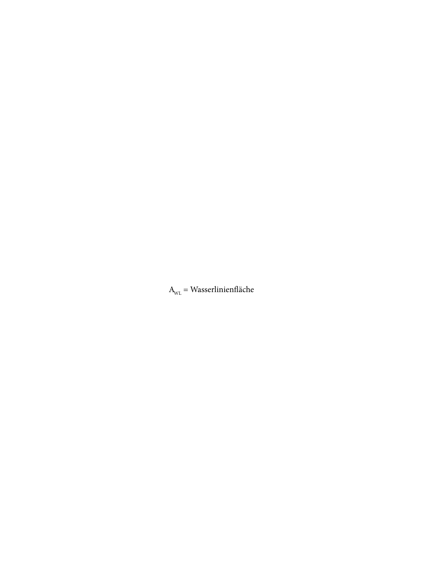$\rm A_{\rm WL}$  = Wasserlinienfläche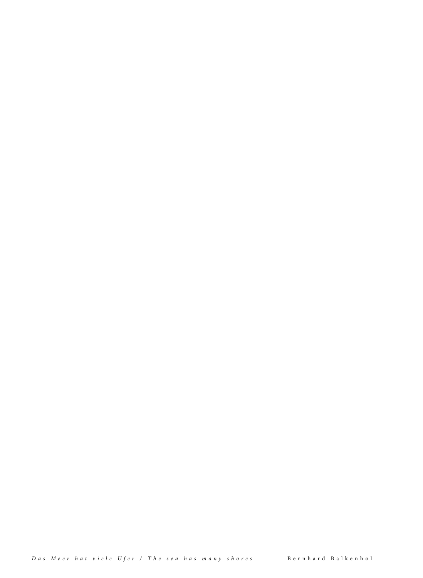*Das Meer hat viele Ufer / The sea has many shores* Bernhard Balkenhol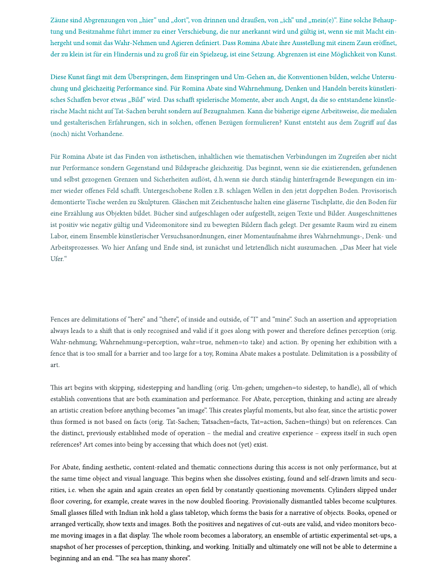Zäune sind Abgrenzungen von "hier" und "dort", von drinnen und draußen, von "ich" und "mein(e)". Eine solche Behauptung und Besitznahme führt immer zu einer Verschiebung, die nur anerkannt wird und gültig ist, wenn sie mit Macht einhergeht und somit das Wahr-Nehmen und Agieren definiert. Dass Romina Abate ihre Ausstellung mit einem Zaun eröffnet, der zu klein ist für ein Hindernis und zu groß für ein Spielzeug, ist eine Setzung. Abgrenzen ist eine Möglichkeit von Kunst.

Diese Kunst fängt mit dem Überspringen, dem Einspringen und Um-Gehen an, die Konventionen bilden, welche Untersuchung und gleichzeitig Performance sind. Für Romina Abate sind Wahrnehmung, Denken und Handeln bereits künstlerisches Schaffen bevor etwas "Bild" wird. Das schafft spielerische Momente, aber auch Angst, da die so entstandene künstlerische Macht nicht auf Tat-Sachen beruht sondern auf Bezugnahmen. Kann die bisherige eigene Arbeitsweise, die medialen und gestalterischen Erfahrungen, sich in solchen, offenen Bezügen formulieren? Kunst entsteht aus dem Zugriff auf das (noch) nicht Vorhandene.

Für Romina Abate ist das Finden von ästhetischen, inhaltlichen wie thematischen Verbindungen im Zugreifen aber nicht nur Performance sondern Gegenstand und Bildsprache gleichzeitig. Das beginnt, wenn sie die existierenden, gefundenen und selbst gezogenen Grenzen und Sicherheiten auflöst, d.h.wenn sie durch ständig hinterfragende Bewegungen ein immer wieder offenes Feld schafft. Untergeschobene Rollen z.B. schlagen Wellen in den jetzt doppelten Boden. Provisorisch demontierte Tische werden zu Skulpturen. Gläschen mit Zeichentusche halten eine gläserne Tischplatte, die den Boden für eine Erzählung aus Objekten bildet. Bücher sind aufgeschlagen oder aufgestellt, zeigen Texte und Bilder. Ausgeschnittenes ist positiv wie negativ gültig und Videomonitore sind zu bewegten Bildern flach gelegt. Der gesamte Raum wird zu einem Labor, einem Ensemble künstlerischer Versuchsanordnungen, einer Momentaufnahme ihres Wahrnehmungs-, Denk- und Arbeitsprozesses. Wo hier Anfang und Ende sind, ist zunächst und letztendlich nicht auszumachen. "Das Meer hat viele Ufer."

Fences are delimitations of "here" and "there", of inside and outside, of "I" and "mine". Such an assertion and appropriation always leads to a shift that is only recognised and valid if it goes along with power and therefore defines perception (orig. Wahr-nehmung; Wahrnehmung=perception, wahr=true, nehmen=to take) and action. By opening her exhibition with a fence that is too small for a barrier and too large for a toy, Romina Abate makes a postulate. Delimitation is a possibility of art.

This art begins with skipping, sidestepping and handling (orig. Um-gehen; umgehen=to sidestep, to handle), all of which establish conventions that are both examination and performance. For Abate, perception, thinking and acting are already an artistic creation before anything becomes "an image". This creates playful moments, but also fear, since the artistic power thus formed is not based on facts (orig. Tat-Sachen; Tatsachen=facts, Tat=action, Sachen=things) but on references. Can the distinct, previously established mode of operation – the medial and creative experience – express itself in such open references? Art comes into being by accessing that which does not (yet) exist.

For Abate, finding aesthetic, content-related and thematic connections during this access is not only performance, but at the same time object and visual language. This begins when she dissolves existing, found and self-drawn limits and securities, i.e. when she again and again creates an open field by constantly questioning movements. Cylinders slipped under floor covering, for example, create waves in the now doubled flooring. Provisionally dismantled tables become sculptures. Small glasses filled with Indian ink hold a glass tabletop, which forms the basis for a narrative of objects. Books, opened or arranged vertically, show texts and images. Both the positives and negatives of cut-outs are valid, and video monitors become moving images in a flat display. The whole room becomes a laboratory, an ensemble of artistic experimental set-ups, a snapshot of her processes of perception, thinking, and working. Initially and ultimately one will not be able to determine a beginning and an end. "The sea has many shores".